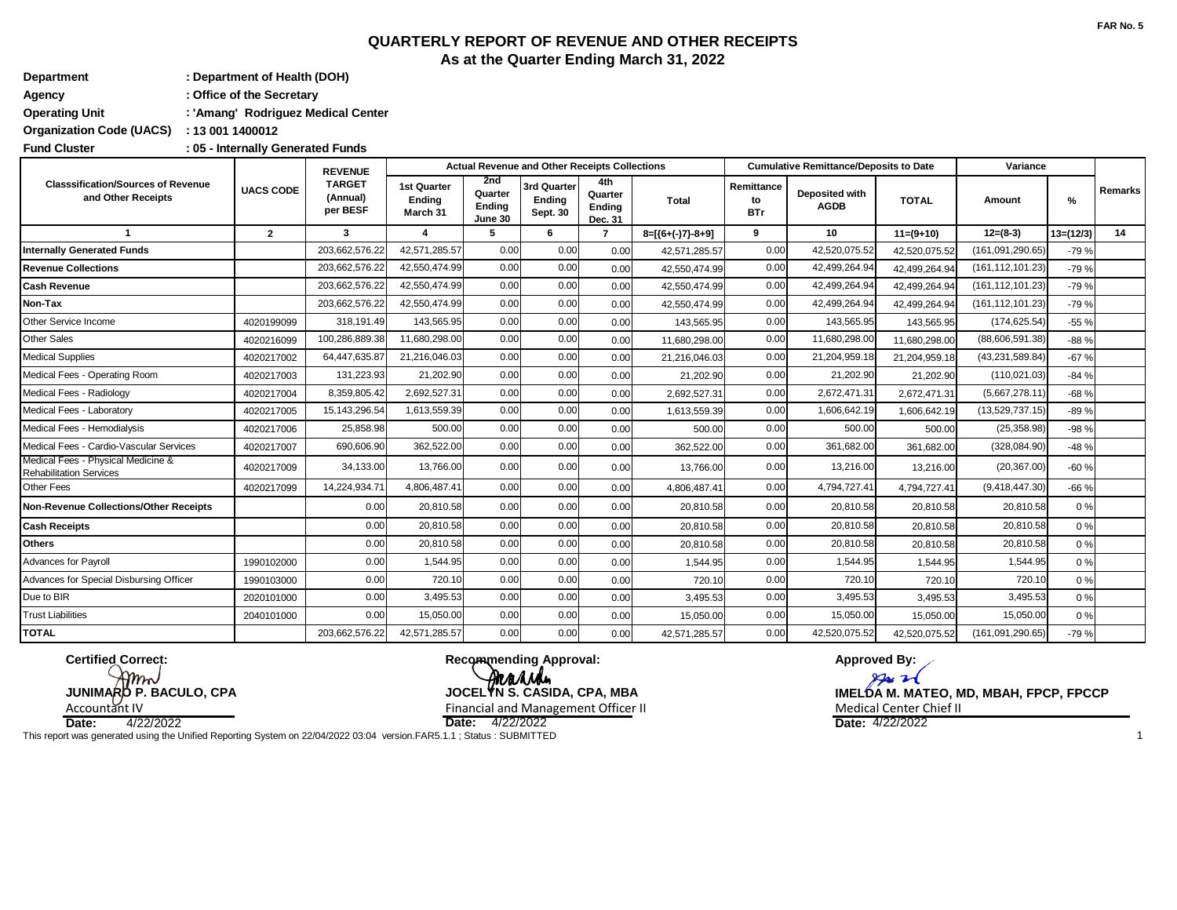# **QUARTERLY REPORT OF REVENUE AND OTHER RECEIPTS As at the Quarter Ending March 31, 2022**

| Department            | : Department of Health (DOH)       |
|-----------------------|------------------------------------|
| Agency                | : Office of the Secretary          |
| <b>Operating Unit</b> | : 'Amang' Rodriguez Medical Center |

**: Organization Code (UACS) 13 001 1400012**

**: Fund Cluster 05 - Internally Generated Funds**

|                                                                      |                  | <b>REVENUE</b><br><b>TARGET</b><br>(Annual)<br>per BESF | <b>Actual Revenue and Other Receipts Collections</b> |                                     |                                   |                                     |                    |                                | <b>Cumulative Remittance/Deposits to Date</b> | Variance      |                    |             |                |
|----------------------------------------------------------------------|------------------|---------------------------------------------------------|------------------------------------------------------|-------------------------------------|-----------------------------------|-------------------------------------|--------------------|--------------------------------|-----------------------------------------------|---------------|--------------------|-------------|----------------|
| <b>Classsification/Sources of Revenue</b><br>and Other Receipts      | <b>UACS CODE</b> |                                                         | 1st Quarter<br>Ending<br>March 31                    | 2nd<br>Quarter<br>Ending<br>June 30 | 3rd Quarter<br>Ending<br>Sept. 30 | 4th<br>Quarter<br>Ending<br>Dec. 31 | Total              | Remittance<br>to<br><b>BTr</b> | Deposited with<br><b>AGDB</b>                 | <b>TOTAL</b>  | Amount             | %           | <b>Remarks</b> |
|                                                                      | $\mathbf{2}$     | 3                                                       |                                                      | 5                                   | 6                                 | 7                                   | $8=[(6+(-)7)-8+9]$ | 9                              | 10                                            | $11=(9+10)$   | $12=(8-3)$         | $13=(12/3)$ | 14             |
| <b>Internally Generated Funds</b>                                    |                  | 203,662,576.22                                          | 42,571,285.57                                        | 0.00                                | 0.00                              | 0.00                                | 42,571,285.57      | 0.00                           | 42,520,075.52                                 | 42,520,075.52 | (161, 091, 290.65) | $-79%$      |                |
| <b>Revenue Collections</b>                                           |                  | 203,662,576.22                                          | 42,550,474.99                                        | 0.00                                | 0.00                              | 0.00                                | 42,550,474.99      | 0.00                           | 42,499,264.94                                 | 42,499,264.94 | (161, 112, 101.23) | $-79%$      |                |
| <b>Cash Revenue</b>                                                  |                  | 203,662,576.22                                          | 42,550,474.99                                        | 0.00                                | 0.00                              | 0.00                                | 42,550,474.99      | 0.00                           | 42,499,264.94                                 | 42,499,264.94 | (161, 112, 101.23) | $-79%$      |                |
| Non-Tax                                                              |                  | 203,662,576.22                                          | 42,550,474.99                                        | 0.00                                | 0.00                              | 0.00                                | 42.550.474.99      | 0.00                           | 42,499,264.94                                 | 42.499.264.94 | (161, 112, 101.23) | $-79%$      |                |
| Other Service Income                                                 | 4020199099       | 318,191.49                                              | 143,565.95                                           | 0.00                                | 0.00                              | 0.00                                | 143,565.95         | 0.00                           | 143,565.95                                    | 143,565.95    | (174, 625.54)      | $-55%$      |                |
| <b>Other Sales</b>                                                   | 4020216099       | 100,286,889.38                                          | 11,680,298.00                                        | 0.00                                | 0.00                              | 0.00                                | 11,680,298.00      | 0.00                           | 11,680,298.00                                 | 11,680,298.00 | (88,606,591.38)    | $-88%$      |                |
| <b>Medical Supplies</b>                                              | 4020217002       | 64,447,635.87                                           | 21,216,046.03                                        | 0.00                                | 0.00                              | 0.00                                | 21,216,046.03      | 0.00                           | 21,204,959.18                                 | 21,204,959.18 | (43, 231, 589.84)  | $-67%$      |                |
| Medical Fees - Operating Room                                        | 4020217003       | 131,223.93                                              | 21,202.90                                            | 0.00                                | 0.00                              | 0.00                                | 21,202.90          | 0.00                           | 21,202.90                                     | 21,202.90     | (110, 021.03)      | $-84%$      |                |
| Medical Fees - Radiology                                             | 4020217004       | 8,359,805.42                                            | 2,692,527.31                                         | 0.00                                | 0.00                              | 0.00                                | 2,692,527.31       | 0.00                           | 2,672,471.31                                  | 2,672,471.31  | (5,667,278.11)     | $-68%$      |                |
| Medical Fees - Laboratory                                            | 4020217005       | 15,143,296.54                                           | 1,613,559.39                                         | 0.00                                | 0.00                              | 0.00                                | 1,613,559.39       | 0.00                           | 1,606,642.19                                  | 1,606,642.19  | (13,529,737.15)    | $-89%$      |                |
| Medical Fees - Hemodialysis                                          | 4020217006       | 25,858.98                                               | 500.00                                               | 0.00                                | 0.00                              | 0.00                                | 500.00             | 0.00                           | 500.00                                        | 500.00        | (25, 358.98)       | -98 %       |                |
| Medical Fees - Cardio-Vascular Services                              | 4020217007       | 690,606.90                                              | 362,522.00                                           | 0.00                                | 0.00                              | 0.00                                | 362,522.00         | 0.00                           | 361,682.00                                    | 361,682.00    | (328, 084.90)      | $-48%$      |                |
| Medical Fees - Physical Medicine &<br><b>Rehabilitation Services</b> | 4020217009       | 34,133.00                                               | 13.766.00                                            | 0.00                                | 0.00                              | 0.00                                | 13,766.00          | 0.00                           | 13,216.00                                     | 13,216.00     | (20, 367.00)       | $-60%$      |                |
| Other Fees                                                           | 4020217099       | 14,224,934.7                                            | 4,806,487.41                                         | 0.00                                | 0.00                              | 0.00                                | 4,806,487.41       | 0.00                           | 4,794,727.41                                  | 4,794,727.41  | (9,418,447.30)     | $-66%$      |                |
| Non-Revenue Collections/Other Receipts                               |                  | 0.00                                                    | 20,810.58                                            | 0.00                                | 0.00                              | 0.00                                | 20,810.58          | 0.00                           | 20,810.58                                     | 20,810.58     | 20,810.58          | 0%          |                |
| <b>Cash Receipts</b>                                                 |                  | 0.00                                                    | 20,810.58                                            | 0.00                                | 0.00                              | 0.00                                | 20,810.58          | 0.00                           | 20,810.58                                     | 20,810.58     | 20,810.58          | 0%          |                |
| <b>Others</b>                                                        |                  | 0.00                                                    | 20,810.58                                            | 0.00                                | 0.00                              | 0.00                                | 20,810.58          | 0.00                           | 20,810.58                                     | 20,810.58     | 20,810.58          | 0%          |                |
| <b>Advances for Payroll</b>                                          | 1990102000       | 0.00                                                    | 1,544.95                                             | 0.00                                | 0.00                              | 0.00                                | 1,544.95           | 0.00                           | 1,544.95                                      | 1,544.95      | 1,544.95           | 0%          |                |
| Advances for Special Disbursing Officer                              | 1990103000       | 0.00                                                    | 720.10                                               | 0.00                                | 0.00                              | 0.00                                | 720.10             | 0.00                           | 720.10                                        | 720.10        | 720.10             | 0%          |                |
| Due to BIR                                                           | 2020101000       | 0.00                                                    | 3,495.53                                             | 0.00                                | 0.00                              | 0.00                                | 3,495.53           | 0.00                           | 3,495.53                                      | 3,495.53      | 3,495.53           | 0%          |                |
| <b>Trust Liabilities</b>                                             | 2040101000       | 0.00                                                    | 15,050.00                                            | 0.00                                | 0.00                              | 0.00                                | 15,050.00          | 0.00                           | 15,050.00                                     | 15,050.00     | 15,050.00          | 0%          |                |
| <b>TOTAL</b>                                                         |                  | 203,662,576.22                                          | 42,571,285.57                                        | 0.00                                | 0.00                              | 0.00                                | 42,571,285.57      | 0.00                           | 42,520,075.52                                 | 42,520,075.52 | (161, 091, 290.65) | $-79%$      |                |

**Certified Correct:**  $m$ N

**Recommending Approval:** Arrande **JUNIMARO P. BACULO, CPA JOCELYN S. CASIDA, CPA, MBA** Financial and Management Officer II Medical Center Chief II Medical Center Chief II

Accountant IV<br>Date: 4/22/2022

**Date:** 4/22/2022 **Date: Date:** 4/22/2022 4/22/2022 This report was generated using the Unified Reporting System on 22/04/2022 03:04 version.FAR5.1.1 ; Status : SUBMITTED 1

**Approved By:**

 $\mathcal{P}$ 

**IMELDA M. MATEO, MD, MBAH, FPCP, FPCCP**<br>Medical Center Chief II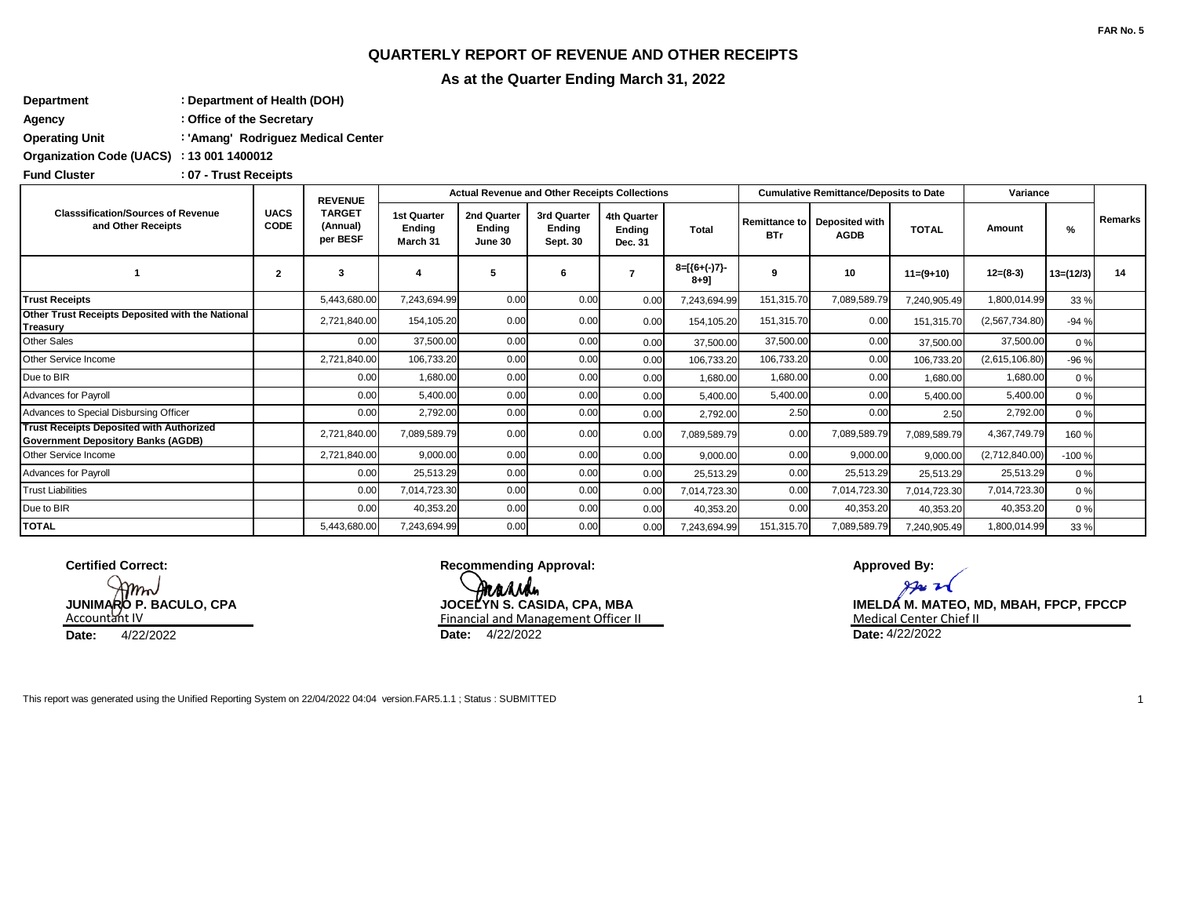## **QUARTERLY REPORT OF REVENUE AND OTHER RECEIPTS**

**As at the Quarter Ending March 31, 2022**

**: Department Department of Health (DOH) : Agency Office of the Secretary**

**: Operating Unit 'Amang' Rodriguez Medical Center**

**: Organization Code (UACS) 13 001 1400012**

**: Fund Cluster 07 - Trust Receipts**

| <b>Classsification/Sources of Revenue</b><br>and Other Receipts                              | <b>UACS</b><br><b>CODE</b> | <b>REVENUE</b><br><b>TARGET</b><br>(Annual)<br>per BESF |                                          |                                  | <b>Actual Revenue and Other Receipts Collections</b> |                                  |                             |            | <b>Cumulative Remittance/Deposits to Date</b> | Variance     |                |             |                |
|----------------------------------------------------------------------------------------------|----------------------------|---------------------------------------------------------|------------------------------------------|----------------------------------|------------------------------------------------------|----------------------------------|-----------------------------|------------|-----------------------------------------------|--------------|----------------|-------------|----------------|
|                                                                                              |                            |                                                         | <b>1st Quarter</b><br>Endina<br>March 31 | 2nd Quarter<br>Ending<br>June 30 | 3rd Quarter<br>Endina<br>Sept. 30                    | 4th Quarter<br>Endina<br>Dec. 31 | <b>Total</b>                | <b>BTr</b> | Remittance to Deposited with<br><b>AGDB</b>   | <b>TOTAL</b> | Amount         | %           | <b>Remarks</b> |
|                                                                                              | $\overline{2}$             | 3                                                       |                                          | 5                                | 6                                                    | 7                                | $8=[(6+(-)7)-$<br>$8 + 9$ ] | 9          | 10                                            | $11=(9+10)$  | $12=(8-3)$     | $13=(12/3)$ | 14             |
| <b>Trust Receipts</b>                                                                        |                            | 5,443,680.00                                            | 7,243,694.99                             | 0.00                             | 0.00                                                 | 0.00                             | 7,243,694.99                | 151,315.70 | 7,089,589.79                                  | 7,240,905.49 | 1,800,014.99   | 33 %        |                |
| Other Trust Receipts Deposited with the National<br>Treasury                                 |                            | 2,721,840.00                                            | 154,105.20                               | 0.00                             | 0.00                                                 | 0.00                             | 154,105.20                  | 151,315.70 | 0.00                                          | 151,315.70   | (2,567,734.80) | $-94%$      |                |
| Other Sales                                                                                  |                            | 0.00                                                    | 37,500.00                                | 0.00                             | 0.00                                                 | 0.00                             | 37,500.00                   | 37,500.00  | 0.00                                          | 37,500.00    | 37,500.00      | 0%          |                |
| Other Service Income                                                                         |                            | 2,721,840.00                                            | 106,733.20                               | 0.00                             | 0.00                                                 | 0.00                             | 106,733.20                  | 106,733.20 | 0.00                                          | 106,733.20   | (2,615,106.80) | $-96%$      |                |
| Due to BIR                                                                                   |                            | 0.00                                                    | 1,680.00                                 | 0.00                             | 0.00                                                 | 0.00                             | 1,680.00                    | 1,680.00   | 0.00                                          | 1,680.00     | 1,680.00       | 0%          |                |
| <b>Advances for Payroll</b>                                                                  |                            | 0.00                                                    | 5,400.00                                 | 0.00                             | 0.00                                                 | 0.00                             | 5,400.00                    | 5,400.00   | 0.00                                          | 5.400.00     | 5,400.00       | 0%          |                |
| Advances to Special Disbursing Officer                                                       |                            | 0.00                                                    | 2,792.00                                 | 0.00                             | 0.00                                                 | 0.00                             | 2,792.00                    | 2.50       | 0.00                                          | 2.50         | 2,792.00       | 0%          |                |
| <b>Trust Receipts Deposited with Authorized</b><br><b>Government Depository Banks (AGDB)</b> |                            | 2,721,840.00                                            | 7,089,589.79                             | 0.00                             | 0.00                                                 | 0.00                             | 7,089,589.79                | 0.00       | 7,089,589.79                                  | 7,089,589.79 | 4,367,749.79   | 160 %       |                |
| Other Service Income                                                                         |                            | 2.721.840.00                                            | 9,000.00                                 | 0.00                             | 0.00                                                 | 0.00                             | 9,000.00                    | 0.00       | 9,000.00                                      | 9,000.00     | (2,712,840.00) | $-100%$     |                |
| <b>Advances for Payroll</b>                                                                  |                            | 0.00                                                    | 25,513.29                                | 0.00                             | 0.00                                                 | 0.00                             | 25,513.29                   | 0.00       | 25,513.29                                     | 25,513.29    | 25,513.29      | 0%          |                |
| <b>Trust Liabilities</b>                                                                     |                            | 0.00                                                    | 7,014,723.30                             | 0.00                             | 0.00                                                 | 0.00                             | 7,014,723.30                | 0.00       | 7,014,723.30                                  | 7,014,723.30 | 7,014,723.30   | 0%          |                |
| Due to BIR                                                                                   |                            | 0.00                                                    | 40,353.20                                | 0.00                             | 0.00                                                 | 0.00                             | 40,353.20                   | 0.00       | 40,353.20                                     | 40,353.20    | 40,353.20      | 0%          |                |
| <b>TOTAL</b>                                                                                 |                            | 5,443,680.00                                            | 7,243,694.99                             | 0.00                             | 0.00                                                 | 0.00                             | 7,243,694.99                | 151,315.70 | 7,089,589.79                                  | 7,240,905.49 | 1,800,014.99   | 33 %        |                |

**Certified Correct:**

 ${\cal W}$ JUNIMARO P. BACULO, CPA<br>Accountant IV **Date:** 4/22/2022 **Date:**

**Recommending Approval: Marida** JOCELYN S. CASIDA, CPA, MBA Financial and Management Officer II Chief II Medical Center Chief II **Date:** 4/22/2022

**Approved By:**

**IMELDA M. MATEO, MD, MBAH, FPCP, FPCCP** Date: 4/22/2022

This report was generated using the Unified Reporting System on 22/04/2022 04:04 version.FAR5.1.1 ; Status : SUBMITTED 1 1